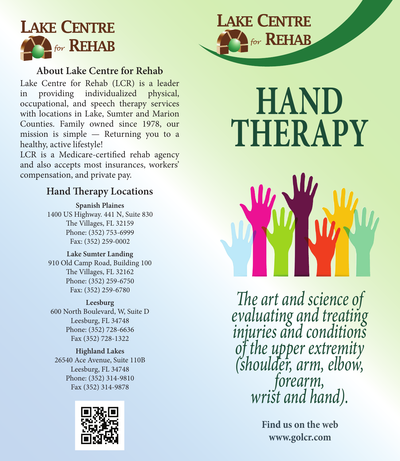

#### **About Lake Centre for Rehab**

Lake Centre for Rehab (LCR) is a leader in providing individualized physical, occupational, and speech therapy services with locations in Lake, Sumter and Marion Counties. Family owned since 1978, our mission is simple — Returning you to a healthy, active lifestyle!

LCR is a Medicare-certified rehab agency and also accepts most insurances, workers' compensation, and private pay.

#### **Hand Therapy Locations**

**Spanish Plaines** 1400 US Highway. 441 N, Suite 830 The Villages, FL 32159 Phone: (352) 753-6999 Fax: (352) 259-0002

**Lake Sumter Landing** 910 Old Camp Road, Building 100 The Villages, FL 32162 Phone: (352) 259-6750 Fax: (352) 259-6780

**Leesburg** 600 North Boulevard, W, Suite D Leesburg, FL 34748 Phone: (352) 728-6636 Fax (352) 728-1322

**Highland Lakes** 26540 Ace Avenue, Suite 110B Leesburg, FL 34748 Phone: (352) 314-9810 Fax (352) 314-9878





**LAKE CENTRE** 

for **REHAB** 

*The art and science of evaluating and treating injuries and conditions of the upper extremity (shoulder, arm, elbow, forearm, wrist and hand).* 

> **Find us on the web www.golcr.com**